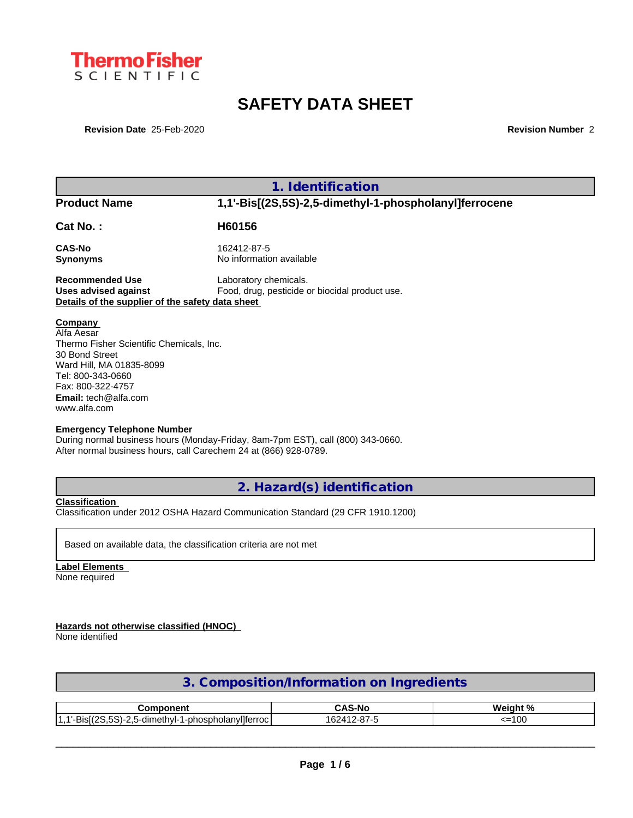

# **SAFETY DATA SHEET**

**Revision Date** 25-Feb-2020 **Revision Number** 2

|                                                                                                                                                                                                                 | 1. Identification                                                               |
|-----------------------------------------------------------------------------------------------------------------------------------------------------------------------------------------------------------------|---------------------------------------------------------------------------------|
| <b>Product Name</b>                                                                                                                                                                                             | 1,1'-Bis[(2S,5S)-2,5-dimethyl-1-phospholanyl]ferrocene                          |
| <b>Cat No.:</b>                                                                                                                                                                                                 | H60156                                                                          |
| CAS-No<br>Synonyms                                                                                                                                                                                              | 162412-87-5<br>No information available                                         |
| Recommended Use<br>Uses advised against<br>Details of the supplier of the safety data sheet                                                                                                                     | Laboratory chemicals.<br>Food, drug, pesticide or biocidal product use.         |
| <b>Company</b><br>Alfa Aesar<br>Thermo Fisher Scientific Chemicals, Inc.<br>30 Bond Street<br>Ward Hill, MA 01835-8099<br>Tel: 800-343-0660<br>Fax: 800-322-4757<br><b>Email:</b> tech@alfa.com<br>www.alfa.com |                                                                                 |
| <b>Emergency Telephone Number</b><br>After normal business hours, call Carechem 24 at (866) 928-0789.                                                                                                           | During normal business hours (Monday-Friday, 8am-7pm EST), call (800) 343-0660. |

**2. Hazard(s) identification**

**Classification**

Classification under 2012 OSHA Hazard Communication Standard (29 CFR 1910.1200)

Based on available data, the classification criteria are not met

**Label Elements** None required

**Hazards not otherwise classified (HNOC)**

None identified

| 3. Composition/Information on Ingredients |  |
|-------------------------------------------|--|
|                                           |  |

| omponent                                                                                                    | <b>.</b>                                      | $M$ ainht %                     |
|-------------------------------------------------------------------------------------------------------------|-----------------------------------------------|---------------------------------|
| vilferroc<br>$-\sim$<br><br>$\sim$<br>--<br>$\overline{\phantom{a}}$<br>5-dimethyl-1-phospholany.<br>.<br>. | $\sim$<br>1624<br>$\overline{A}$<br>$-1$<br>ີ | $\sim$ $\sim$ $\sim$<br>--<br>v |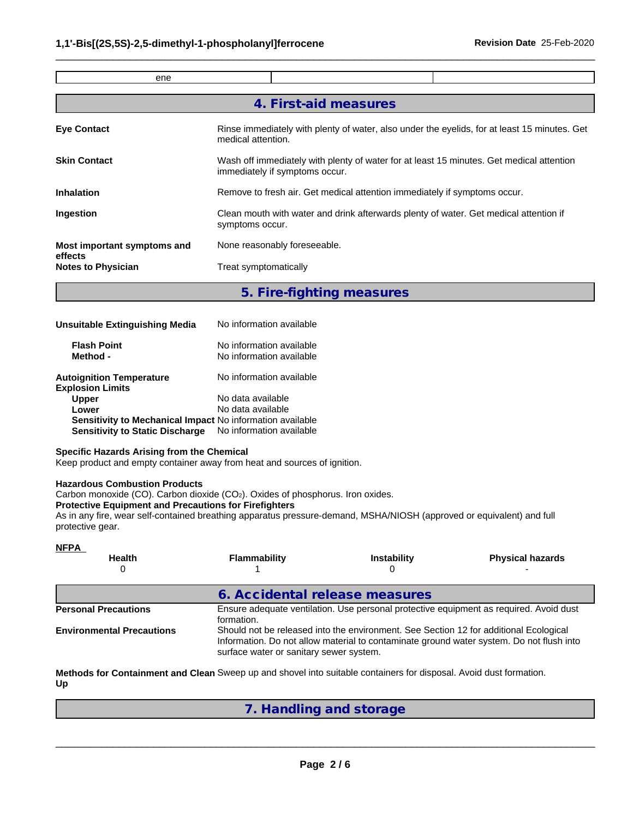| ene                                    |                                                                                                                            |  |  |  |  |
|----------------------------------------|----------------------------------------------------------------------------------------------------------------------------|--|--|--|--|
|                                        |                                                                                                                            |  |  |  |  |
|                                        | 4. First-aid measures                                                                                                      |  |  |  |  |
| <b>Eye Contact</b>                     | Rinse immediately with plenty of water, also under the eyelids, for at least 15 minutes. Get<br>medical attention.         |  |  |  |  |
| <b>Skin Contact</b>                    | Wash off immediately with plenty of water for at least 15 minutes. Get medical attention<br>immediately if symptoms occur. |  |  |  |  |
| <b>Inhalation</b>                      | Remove to fresh air. Get medical attention immediately if symptoms occur.                                                  |  |  |  |  |
| Ingestion                              | Clean mouth with water and drink afterwards plenty of water. Get medical attention if<br>symptoms occur.                   |  |  |  |  |
| Most important symptoms and<br>effects | None reasonably foreseeable.                                                                                               |  |  |  |  |
| <b>Notes to Physician</b>              | Treat symptomatically                                                                                                      |  |  |  |  |
|                                        |                                                                                                                            |  |  |  |  |

 $\_$  ,  $\_$  ,  $\_$  ,  $\_$  ,  $\_$  ,  $\_$  ,  $\_$  ,  $\_$  ,  $\_$  ,  $\_$  ,  $\_$  ,  $\_$  ,  $\_$  ,  $\_$  ,  $\_$  ,  $\_$  ,  $\_$  ,  $\_$  ,  $\_$  ,  $\_$  ,  $\_$  ,  $\_$  ,  $\_$  ,  $\_$  ,  $\_$  ,  $\_$  ,  $\_$  ,  $\_$  ,  $\_$  ,  $\_$  ,  $\_$  ,  $\_$  ,  $\_$  ,  $\_$  ,  $\_$  ,  $\_$  ,  $\_$  ,

**5. Fire-fighting measures**

| Unsuitable Extinguishing Media                                   | No information available                             |  |
|------------------------------------------------------------------|------------------------------------------------------|--|
| <b>Flash Point</b><br>Method -                                   | No information available<br>No information available |  |
| <b>Autoignition Temperature</b><br><b>Explosion Limits</b>       | No information available                             |  |
| <b>Upper</b>                                                     | No data available                                    |  |
| Lower                                                            | No data available                                    |  |
| <b>Sensitivity to Mechanical Impact No information available</b> |                                                      |  |
| <b>Sensitivity to Static Discharge</b>                           | No information available                             |  |

#### **Specific Hazards Arising from the Chemical**

Keep product and empty container away from heat and sources of ignition.

#### **Hazardous Combustion Products**

Carbon monoxide (CO). Carbon dioxide (CO<sub>2</sub>). Oxides of phosphorus. Iron oxides.

#### **Protective Equipment and Precautions for Firefighters**

As in any fire, wear self-contained breathing apparatus pressure-demand, MSHA/NIOSH (approved or equivalent) and full protective gear.

| <b>NFPA</b>                      |                                                                                                                                                                                                                              |                    |                         |  |  |
|----------------------------------|------------------------------------------------------------------------------------------------------------------------------------------------------------------------------------------------------------------------------|--------------------|-------------------------|--|--|
| <b>Health</b>                    | Flammability                                                                                                                                                                                                                 | <b>Instability</b> | <b>Physical hazards</b> |  |  |
|                                  | 6. Accidental release measures                                                                                                                                                                                               |                    |                         |  |  |
| <b>Personal Precautions</b>      | Ensure adequate ventilation. Use personal protective equipment as required. Avoid dust<br>formation.                                                                                                                         |                    |                         |  |  |
| <b>Environmental Precautions</b> | Should not be released into the environment. See Section 12 for additional Ecological<br>Information. Do not allow material to contaminate ground water system. Do not flush into<br>surface water or sanitary sewer system. |                    |                         |  |  |

**Methods for Containment and Clean** Sweep up and shovel into suitable containers for disposal. Avoid dust formation. **Up**

### **7. Handling and storage**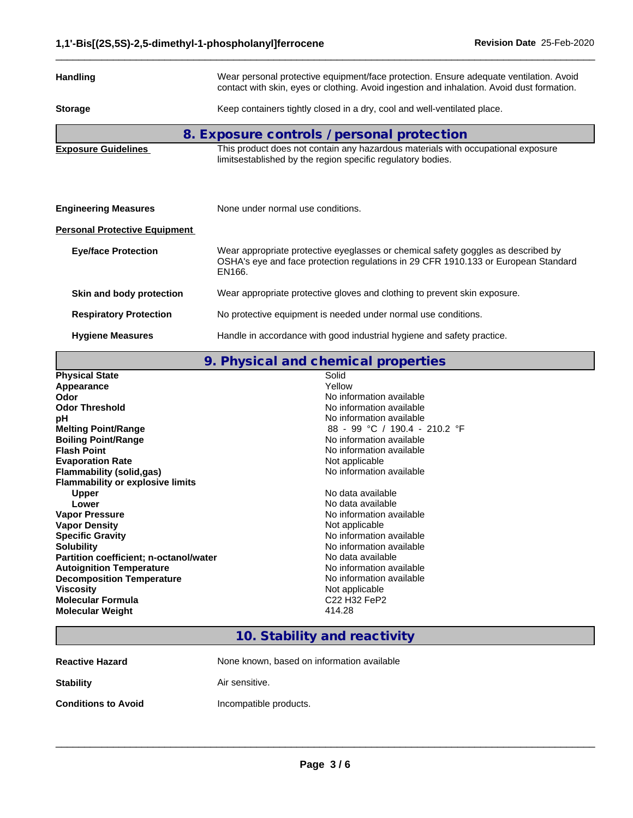| <b>Handling</b><br>Wear personal protective equipment/face protection. Ensure adequate ventilation. Avoid<br>contact with skin, eyes or clothing. Avoid ingestion and inhalation. Avoid dust formation. |                                                                                                                                                                                   |  |  |  |
|---------------------------------------------------------------------------------------------------------------------------------------------------------------------------------------------------------|-----------------------------------------------------------------------------------------------------------------------------------------------------------------------------------|--|--|--|
| <b>Storage</b>                                                                                                                                                                                          | Keep containers tightly closed in a dry, cool and well-ventilated place.                                                                                                          |  |  |  |
|                                                                                                                                                                                                         | 8. Exposure controls / personal protection                                                                                                                                        |  |  |  |
| <b>Exposure Guidelines</b>                                                                                                                                                                              | This product does not contain any hazardous materials with occupational exposure<br>limitsestablished by the region specific regulatory bodies.                                   |  |  |  |
|                                                                                                                                                                                                         |                                                                                                                                                                                   |  |  |  |
| <b>Engineering Measures</b>                                                                                                                                                                             | None under normal use conditions.                                                                                                                                                 |  |  |  |
| <b>Personal Protective Equipment</b>                                                                                                                                                                    |                                                                                                                                                                                   |  |  |  |
| <b>Eye/face Protection</b>                                                                                                                                                                              | Wear appropriate protective eyeglasses or chemical safety goggles as described by<br>OSHA's eye and face protection regulations in 29 CFR 1910.133 or European Standard<br>EN166. |  |  |  |
| Skin and body protection                                                                                                                                                                                | Wear appropriate protective gloves and clothing to prevent skin exposure.                                                                                                         |  |  |  |
| <b>Respiratory Protection</b>                                                                                                                                                                           | No protective equipment is needed under normal use conditions.                                                                                                                    |  |  |  |
| <b>Hygiene Measures</b>                                                                                                                                                                                 | Handle in accordance with good industrial hygiene and safety practice.                                                                                                            |  |  |  |

 $\_$  ,  $\_$  ,  $\_$  ,  $\_$  ,  $\_$  ,  $\_$  ,  $\_$  ,  $\_$  ,  $\_$  ,  $\_$  ,  $\_$  ,  $\_$  ,  $\_$  ,  $\_$  ,  $\_$  ,  $\_$  ,  $\_$  ,  $\_$  ,  $\_$  ,  $\_$  ,  $\_$  ,  $\_$  ,  $\_$  ,  $\_$  ,  $\_$  ,  $\_$  ,  $\_$  ,  $\_$  ,  $\_$  ,  $\_$  ,  $\_$  ,  $\_$  ,  $\_$  ,  $\_$  ,  $\_$  ,  $\_$  ,  $\_$  ,

**9. Physical and chemical properties**

| <b>Physical State</b>                   | Solid                                            |
|-----------------------------------------|--------------------------------------------------|
| Appearance                              | Yellow                                           |
| Odor                                    | No information available                         |
| <b>Odor Threshold</b>                   | No information available                         |
| рH                                      | No information available                         |
| <b>Melting Point/Range</b>              | 88 - 99 °C / 190.4 - 210.2 °F                    |
| <b>Boiling Point/Range</b>              | No information available                         |
| <b>Flash Point</b>                      | No information available                         |
| <b>Evaporation Rate</b>                 | Not applicable                                   |
| Flammability (solid,gas)                | No information available                         |
| <b>Flammability or explosive limits</b> |                                                  |
| <b>Upper</b>                            | No data available                                |
| Lower                                   | No data available                                |
| <b>Vapor Pressure</b>                   | No information available                         |
| <b>Vapor Density</b>                    | Not applicable                                   |
| <b>Specific Gravity</b>                 | No information available                         |
| <b>Solubility</b>                       | No information available                         |
| Partition coefficient; n-octanol/water  | No data available                                |
| <b>Autoignition Temperature</b>         | No information available                         |
| <b>Decomposition Temperature</b>        | No information available                         |
| Viscosity                               | Not applicable                                   |
| Molecular Formula                       | C <sub>22</sub> H <sub>32</sub> FeP <sub>2</sub> |
| <b>Molecular Weight</b>                 | 414.28                                           |
|                                         |                                                  |

### **10. Stability and reactivity**

None known, based on information available

**Stability Air sensitive.** 

**Conditions to Avoid Incompatible products.**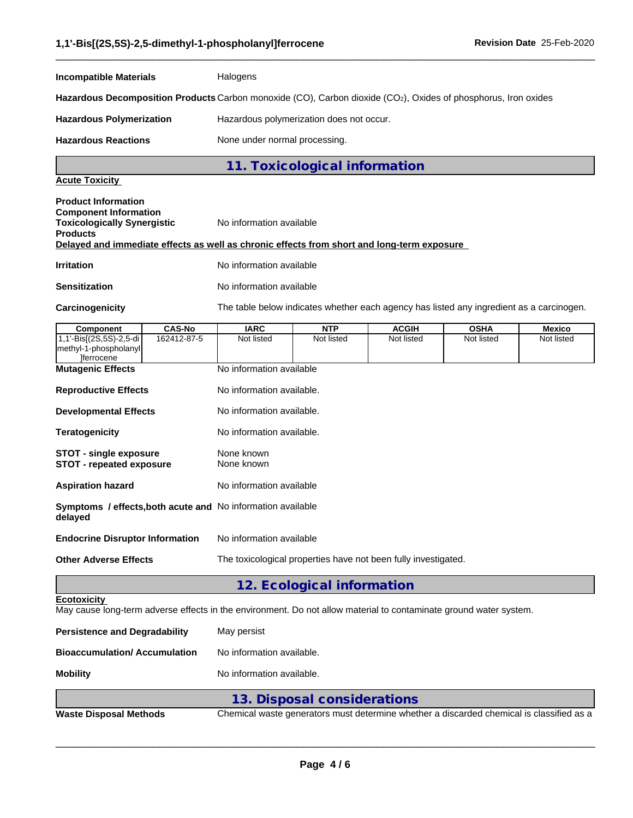| <b>Incompatible Materials</b>                                                                                                                                                                                     | Halogens                                                                                                                                 |                               |  |  |  |
|-------------------------------------------------------------------------------------------------------------------------------------------------------------------------------------------------------------------|------------------------------------------------------------------------------------------------------------------------------------------|-------------------------------|--|--|--|
| Hazardous Decomposition Products Carbon monoxide (CO), Carbon dioxide (CO2), Oxides of phosphorus, Iron oxides                                                                                                    |                                                                                                                                          |                               |  |  |  |
| <b>Hazardous Polymerization</b>                                                                                                                                                                                   | Hazardous polymerization does not occur.                                                                                                 |                               |  |  |  |
| <b>Hazardous Reactions</b>                                                                                                                                                                                        | None under normal processing.                                                                                                            |                               |  |  |  |
|                                                                                                                                                                                                                   |                                                                                                                                          | 11. Toxicological information |  |  |  |
| <b>Acute Toxicity</b>                                                                                                                                                                                             |                                                                                                                                          |                               |  |  |  |
| <b>Product Information</b><br><b>Component Information</b><br><b>Toxicologically Synergistic</b><br><b>Products</b><br>Delayed and immediate effects as well as chronic effects from short and long-term exposure | No information available                                                                                                                 |                               |  |  |  |
| <b>Irritation</b>                                                                                                                                                                                                 | No information available                                                                                                                 |                               |  |  |  |
| <b>Sensitization</b>                                                                                                                                                                                              | No information available                                                                                                                 |                               |  |  |  |
| Carcinogenicity                                                                                                                                                                                                   | The table below indicates whether each agency has listed any ingredient as a carcinogen.                                                 |                               |  |  |  |
| <b>CAS-No</b><br>Component                                                                                                                                                                                        |                                                                                                                                          |                               |  |  |  |
| 1,1'-Bis[(2S,5S)-2,5-di<br>162412-87-5<br>methyl-1-phospholanyl<br><i><u><b>Herrocene</b></u></i>                                                                                                                 | <b>IARC</b><br><b>NTP</b><br><b>ACGIH</b><br><b>OSHA</b><br>Mexico<br>Not listed<br>Not listed<br>Not listed<br>Not listed<br>Not listed |                               |  |  |  |
| <b>Mutagenic Effects</b>                                                                                                                                                                                          | No information available                                                                                                                 |                               |  |  |  |
| <b>Reproductive Effects</b>                                                                                                                                                                                       | No information available.                                                                                                                |                               |  |  |  |
| <b>Developmental Effects</b>                                                                                                                                                                                      | No information available.                                                                                                                |                               |  |  |  |
| <b>Teratogenicity</b>                                                                                                                                                                                             | No information available.                                                                                                                |                               |  |  |  |
| <b>STOT - single exposure</b><br><b>STOT - repeated exposure</b>                                                                                                                                                  | None known<br>None known                                                                                                                 |                               |  |  |  |
| <b>Aspiration hazard</b>                                                                                                                                                                                          | No information available                                                                                                                 |                               |  |  |  |
| Symptoms / effects, both acute and No information available<br>delayed                                                                                                                                            |                                                                                                                                          |                               |  |  |  |
| No information available<br><b>Endocrine Disruptor Information</b>                                                                                                                                                |                                                                                                                                          |                               |  |  |  |
| <b>Other Adverse Effects</b>                                                                                                                                                                                      | The toxicological properties have not been fully investigated.                                                                           |                               |  |  |  |
|                                                                                                                                                                                                                   |                                                                                                                                          | 12. Ecological information    |  |  |  |
| <b>Ecotoxicity</b><br>May cause long-term adverse effects in the environment. Do not allow material to contaminate ground water system.                                                                           |                                                                                                                                          |                               |  |  |  |
| <b>Persistence and Degradability</b>                                                                                                                                                                              | May persist                                                                                                                              |                               |  |  |  |
| <b>Bioaccumulation/ Accumulation</b>                                                                                                                                                                              | No information available.                                                                                                                |                               |  |  |  |
| <b>Mobility</b>                                                                                                                                                                                                   | No information available.                                                                                                                |                               |  |  |  |
|                                                                                                                                                                                                                   |                                                                                                                                          | 13. Disposal considerations   |  |  |  |
|                                                                                                                                                                                                                   |                                                                                                                                          |                               |  |  |  |

 $\_$  ,  $\_$  ,  $\_$  ,  $\_$  ,  $\_$  ,  $\_$  ,  $\_$  ,  $\_$  ,  $\_$  ,  $\_$  ,  $\_$  ,  $\_$  ,  $\_$  ,  $\_$  ,  $\_$  ,  $\_$  ,  $\_$  ,  $\_$  ,  $\_$  ,  $\_$  ,  $\_$  ,  $\_$  ,  $\_$  ,  $\_$  ,  $\_$  ,  $\_$  ,  $\_$  ,  $\_$  ,  $\_$  ,  $\_$  ,  $\_$  ,  $\_$  ,  $\_$  ,  $\_$  ,  $\_$  ,  $\_$  ,  $\_$  ,

**Waste Disposal Methods** Chemical waste generators must determine whether a discarded chemical is classified as a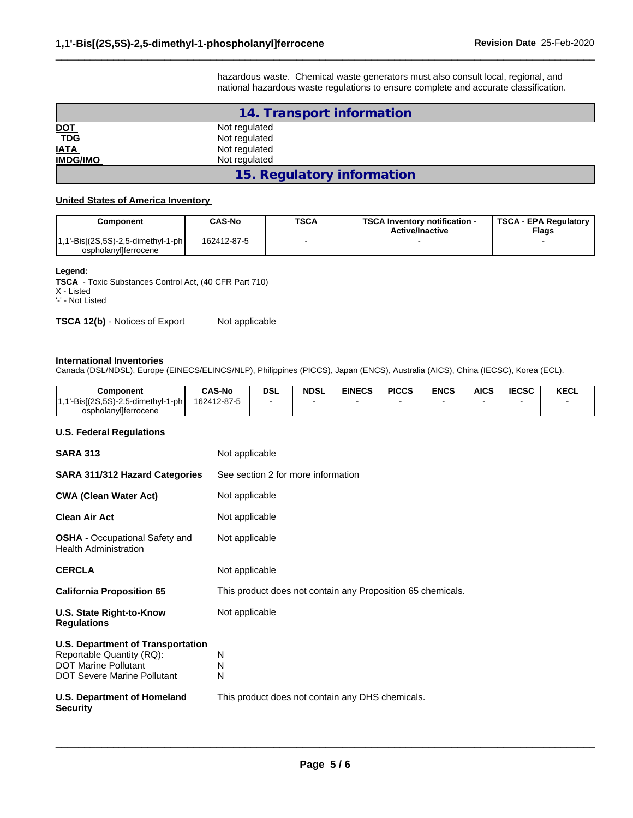hazardous waste. Chemical waste generators must also consult local, regional, and national hazardous waste regulations to ensure complete and accurate classification.

 $\_$  ,  $\_$  ,  $\_$  ,  $\_$  ,  $\_$  ,  $\_$  ,  $\_$  ,  $\_$  ,  $\_$  ,  $\_$  ,  $\_$  ,  $\_$  ,  $\_$  ,  $\_$  ,  $\_$  ,  $\_$  ,  $\_$  ,  $\_$  ,  $\_$  ,  $\_$  ,  $\_$  ,  $\_$  ,  $\_$  ,  $\_$  ,  $\_$  ,  $\_$  ,  $\_$  ,  $\_$  ,  $\_$  ,  $\_$  ,  $\_$  ,  $\_$  ,  $\_$  ,  $\_$  ,  $\_$  ,  $\_$  ,  $\_$  ,

|                             | 14. Transport information  |  |
|-----------------------------|----------------------------|--|
|                             | Not regulated              |  |
| <u>DOT</u><br>_ <u>TDG_</u> | Not regulated              |  |
| <b>IATA</b>                 | Not regulated              |  |
| <b>IMDG/IMO</b>             | Not regulated              |  |
|                             | 15. Regulatory information |  |

#### **United States of America Inventory**

| Component                                                     | CAS-No      | <b>TSCA</b> | <b>TSCA Inventory notification -</b><br><b>Active/Inactive</b> | <b>TSCA - EPA Regulatory</b><br>Flags |
|---------------------------------------------------------------|-------------|-------------|----------------------------------------------------------------|---------------------------------------|
| $1,1'-Bis[(2S,5S)-2,5-dimethyl-1-ph]$<br>ospholanvilferrocene | 162412-87-5 |             |                                                                |                                       |

**Legend:**

**TSCA** - Toxic Substances Control Act, (40 CFR Part 710) X - Listed

'-' - Not Listed

**TSCA 12(b)** - Notices of Export Not applicable

#### **International Inventories**

Canada (DSL/NDSL), Europe (EINECS/ELINCS/NLP), Philippines (PICCS), Japan (ENCS), Australia (AICS), China (IECSC), Korea (ECL).

| Component                      | <b>CAS-No</b> | <b>DSL</b> | <b>NDSL</b> | <b>EINECS</b> | <b>PICCS</b> | <b>ENCS</b> | <b>AICS</b> | <b>IECSC</b> | KECL |
|--------------------------------|---------------|------------|-------------|---------------|--------------|-------------|-------------|--------------|------|
|                                | 162412-87-5   |            |             |               |              |             |             |              |      |
| $\sim$<br>ospholanyllferrocene |               |            |             |               |              |             |             |              |      |

#### **U.S. Federal Regulations**

| <b>SARA 313</b>                                                                                                                            | Not applicable                                              |  |  |  |  |  |
|--------------------------------------------------------------------------------------------------------------------------------------------|-------------------------------------------------------------|--|--|--|--|--|
| <b>SARA 311/312 Hazard Categories</b>                                                                                                      | See section 2 for more information                          |  |  |  |  |  |
| <b>CWA (Clean Water Act)</b>                                                                                                               | Not applicable                                              |  |  |  |  |  |
| <b>Clean Air Act</b>                                                                                                                       | Not applicable                                              |  |  |  |  |  |
| <b>OSHA</b> - Occupational Safety and<br><b>Health Administration</b>                                                                      | Not applicable                                              |  |  |  |  |  |
| <b>CERCLA</b>                                                                                                                              | Not applicable                                              |  |  |  |  |  |
| <b>California Proposition 65</b>                                                                                                           | This product does not contain any Proposition 65 chemicals. |  |  |  |  |  |
| U.S. State Right-to-Know<br><b>Regulations</b>                                                                                             | Not applicable                                              |  |  |  |  |  |
| <b>U.S. Department of Transportation</b><br>Reportable Quantity (RQ):<br><b>DOT Marine Pollutant</b><br><b>DOT Severe Marine Pollutant</b> | N<br>N<br>N                                                 |  |  |  |  |  |
| <b>U.S. Department of Homeland</b><br><b>Security</b>                                                                                      | This product does not contain any DHS chemicals.            |  |  |  |  |  |